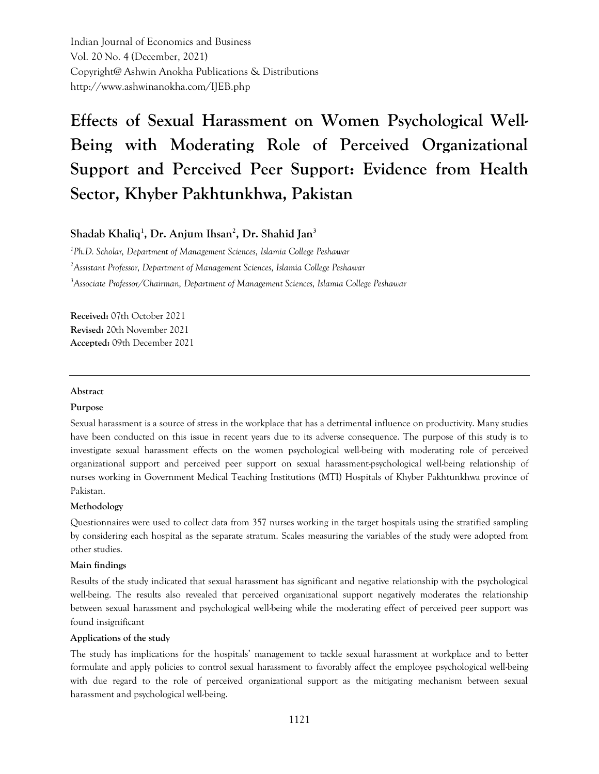Indian Journal of Economics and Business Vol. 20 No. 4 (December, 2021) Copyright@ Ashwin Anokha Publications & Distributions http://www.ashwinanokha.com/IJEB.php

# **Effects of Sexual Harassment on Women Psychological Well-Being with Moderating Role of Perceived Organizational Support and Perceived Peer Support: Evidence from Health Sector, Khyber Pakhtunkhwa, Pakistan**

**Shadab Khaliq<sup>1</sup> , Dr. Anjum Ihsan<sup>2</sup> , Dr. Shahid Jan<sup>3</sup>**

*1 Ph.D. Scholar, Department of Management Sciences, Islamia College Peshawar <sup>2</sup>Assistant Professor, Department of Management Sciences, Islamia College Peshawar <sup>3</sup>Associate Professor/Chairman, Department of Management Sciences, Islamia College Peshawar*

**Received:** 07th October 2021 **Revised:** 20th November 2021 **Accepted:** 09th December 2021

#### **Abstract**

#### **Purpose**

Sexual harassment is a source of stress in the workplace that has a detrimental influence on productivity. Many studies have been conducted on this issue in recent years due to its adverse consequence. The purpose of this study is to investigate sexual harassment effects on the women psychological well-being with moderating role of perceived organizational support and perceived peer support on sexual harassment-psychological well-being relationship of nurses working in Government Medical Teaching Institutions (MTI) Hospitals of Khyber Pakhtunkhwa province of Pakistan.

#### **Methodology**

Questionnaires were used to collect data from 357 nurses working in the target hospitals using the stratified sampling by considering each hospital as the separate stratum. Scales measuring the variables of the study were adopted from other studies.

#### **Main findings**

Results of the study indicated that sexual harassment has significant and negative relationship with the psychological well-being. The results also revealed that perceived organizational support negatively moderates the relationship between sexual harassment and psychological well-being while the moderating effect of perceived peer support was found insignificant

#### **Applications of the study**

The study has implications for the hospitals' management to tackle sexual harassment at workplace and to better formulate and apply policies to control sexual harassment to favorably affect the employee psychological well-being with due regard to the role of perceived organizational support as the mitigating mechanism between sexual harassment and psychological well-being.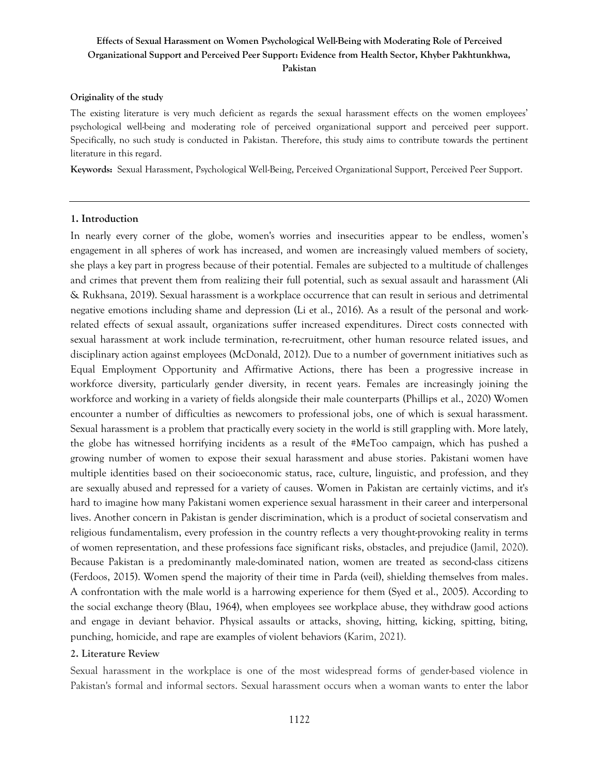#### **Originality of the study**

The existing literature is very much deficient as regards the sexual harassment effects on the women employees' psychological well-being and moderating role of perceived organizational support and perceived peer support. Specifically, no such study is conducted in Pakistan. Therefore, this study aims to contribute towards the pertinent literature in this regard.

**Keywords:** Sexual Harassment, Psychological Well-Being, Perceived Organizational Support, Perceived Peer Support.

#### **1. Introduction**

In nearly every corner of the globe, women's worries and insecurities appear to be endless, women's engagement in all spheres of work has increased, and women are increasingly valued members of society, she plays a key part in progress because of their potential. Females are subjected to a multitude of challenges and crimes that prevent them from realizing their full potential, such as sexual assault and harassment (Ali & Rukhsana, 2019). Sexual harassment is a workplace occurrence that can result in serious and detrimental negative emotions including shame and depression (Li et al., 2016). As a result of the personal and workrelated effects of sexual assault, organizations suffer increased expenditures. Direct costs connected with sexual harassment at work include termination, re-recruitment, other human resource related issues, and disciplinary action against employees (McDonald, 2012). Due to a number of government initiatives such as Equal Employment Opportunity and Affirmative Actions, there has been a progressive increase in workforce diversity, particularly gender diversity, in recent years. Females are increasingly joining the workforce and working in a variety of fields alongside their male counterparts (Phillips et al., 2020) Women encounter a number of difficulties as newcomers to professional jobs, one of which is sexual harassment. Sexual harassment is a problem that practically every society in the world is still grappling with. More lately, the globe has witnessed horrifying incidents as a result of the #MeToo campaign, which has pushed a growing number of women to expose their sexual harassment and abuse stories. Pakistani women have multiple identities based on their socioeconomic status, race, culture, linguistic, and profession, and they are sexually abused and repressed for a variety of causes. Women in Pakistan are certainly victims, and it's hard to imagine how many Pakistani women experience sexual harassment in their career and interpersonal lives. Another concern in Pakistan is gender discrimination, which is a product of societal conservatism and religious fundamentalism, every profession in the country reflects a very thought-provoking reality in terms of women representation, and these professions face significant risks, obstacles, and prejudice (Jamil, 2020). Because Pakistan is a predominantly male-dominated nation, women are treated as second-class citizens (Ferdoos, 2015). Women spend the majority of their time in Parda (veil), shielding themselves from males. A confrontation with the male world is a harrowing experience for them (Syed et al., 2005). According to the social exchange theory (Blau, 1964), when employees see workplace abuse, they withdraw good actions and engage in deviant behavior. Physical assaults or attacks, shoving, hitting, kicking, spitting, biting, punching, homicide, and rape are examples of violent behaviors (Karim, 2021).

#### **2. Literature Review**

Sexual harassment in the workplace is one of the most widespread forms of gender-based violence in Pakistan's formal and informal sectors. Sexual harassment occurs when a woman wants to enter the labor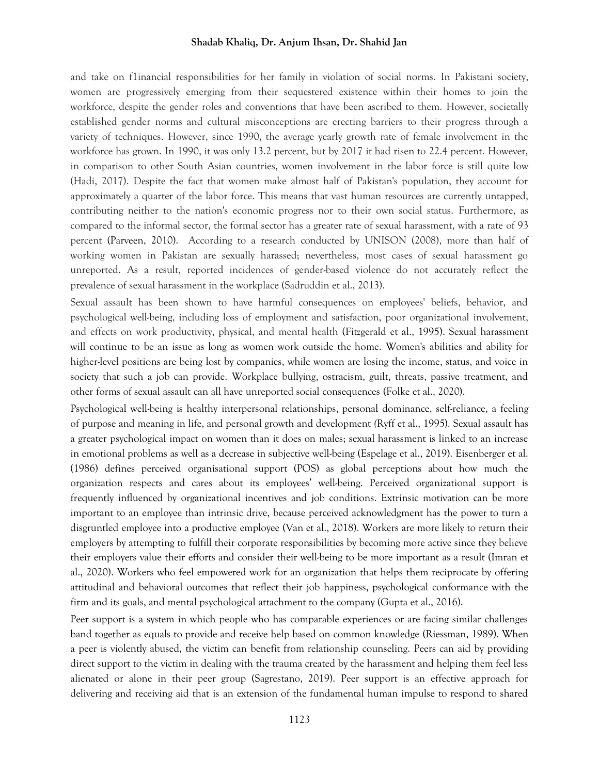and take on f1inancial responsibilities for her family in violation of social norms. In Pakistani society, women are progressively emerging from their sequestered existence within their homes to join the workforce, despite the gender roles and conventions that have been ascribed to them. However, societally established gender norms and cultural misconceptions are erecting barriers to their progress through a variety of techniques. However, since 1990, the average yearly growth rate of female involvement in the workforce has grown. In 1990, it was only 13.2 percent, but by 2017 it had risen to 22.4 percent. However, in comparison to other South Asian countries, women involvement in the labor force is still quite low (Hadi, 2017). Despite the fact that women make almost half of Pakistan's population, they account for approximately a quarter of the labor force. This means that vast human resources are currently untapped, contributing neither to the nation's economic progress nor to their own social status. Furthermore, as compared to the informal sector, the formal sector has a greater rate of sexual harassment, with a rate of 93 percent (Parveen, 2010). According to a research conducted by UNISON (2008), more than half of working women in Pakistan are sexually harassed; nevertheless, most cases of sexual harassment go unreported. As a result, reported incidences of gender-based violence do not accurately reflect the prevalence of sexual harassment in the workplace (Sadruddin et al., 2013).

Sexual assault has been shown to have harmful consequences on employees' beliefs, behavior, and psychological well-being, including loss of employment and satisfaction, poor organizational involvement, and effects on work productivity, physical, and mental health (Fitzgerald et al., 1995). Sexual harassment will continue to be an issue as long as women work outside the home. Women's abilities and ability for higher-level positions are being lost by companies, while women are losing the income, status, and voice in society that such a job can provide. Workplace bullying, ostracism, guilt, threats, passive treatment, and other forms of sexual assault can all have unreported social consequences (Folke et al., 2020).

Psychological well-being is healthy interpersonal relationships, personal dominance, self-reliance, a feeling of purpose and meaning in life, and personal growth and development *(*Ryff et al., 1995). Sexual assault has a greater psychological impact on women than it does on males; sexual harassment is linked to an increase in emotional problems as well as a decrease in subjective well-being (Espelage et al., 2019). Eisenberger et al. (1986) defines perceived organisational support (POS) as global perceptions about how much the organization respects and cares about its employees' well-being. Perceived organizational support is frequently influenced by organizational incentives and job conditions. Extrinsic motivation can be more important to an employee than intrinsic drive, because perceived acknowledgment has the power to turn a disgruntled employee into a productive employee (Van et al., 2018). Workers are more likely to return their employers by attempting to fulfill their corporate responsibilities by becoming more active since they believe their employers value their efforts and consider their well-being to be more important as a result (Imran et al., 2020). Workers who feel empowered work for an organization that helps them reciprocate by offering attitudinal and behavioral outcomes that reflect their job happiness, psychological conformance with the firm and its goals, and mental psychological attachment to the company (Gupta et al., 2016).

Peer support is a system in which people who has comparable experiences or are facing similar challenges band together as equals to provide and receive help based on common knowledge (Riessman, 1989). When a peer is violently abused, the victim can benefit from relationship counseling. Peers can aid by providing direct support to the victim in dealing with the trauma created by the harassment and helping them feel less alienated or alone in their peer group (Sagrestano, 2019). Peer support is an effective approach for delivering and receiving aid that is an extension of the fundamental human impulse to respond to shared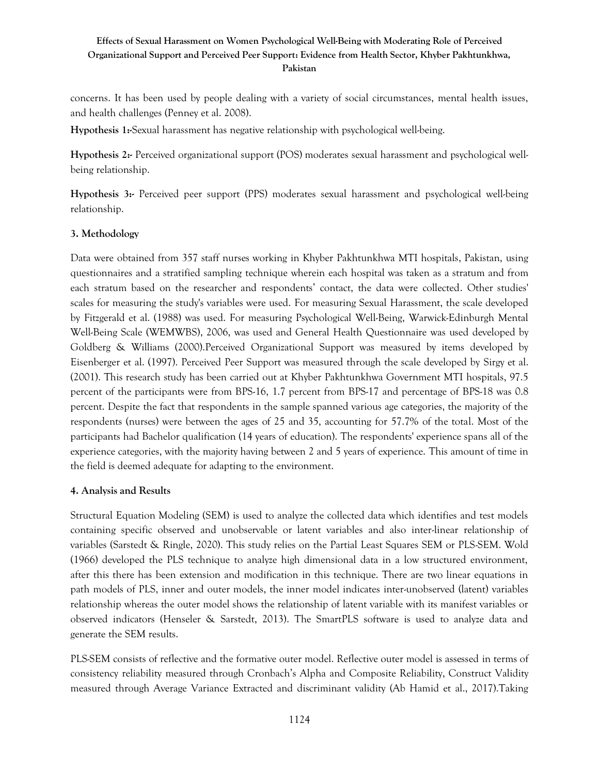concerns. It has been used by people dealing with a variety of social circumstances, mental health issues, and health challenges (Penney et al. 2008).

**Hypothesis 1:-**Sexual harassment has negative relationship with psychological well-being.

**Hypothesis 2:-** Perceived organizational support (POS) moderates sexual harassment and psychological wellbeing relationship.

**Hypothesis 3:-** Perceived peer support (PPS) moderates sexual harassment and psychological well-being relationship.

## **3. Methodology**

Data were obtained from 357 staff nurses working in Khyber Pakhtunkhwa MTI hospitals, Pakistan, using questionnaires and a stratified sampling technique wherein each hospital was taken as a stratum and from each stratum based on the researcher and respondents' contact, the data were collected. Other studies' scales for measuring the study's variables were used. For measuring Sexual Harassment, the scale developed by Fitzgerald et al. (1988) was used. For measuring Psychological Well-Being, Warwick-Edinburgh Mental Well-Being Scale (WEMWBS), 2006, was used and General Health Questionnaire was used developed by Goldberg & Williams (2000).Perceived Organizational Support was measured by items developed by Eisenberger et al. (1997). Perceived Peer Support was measured through the scale developed by Sirgy et al. (2001). This research study has been carried out at Khyber Pakhtunkhwa Government MTI hospitals, 97.5 percent of the participants were from BPS-16, 1.7 percent from BPS-17 and percentage of BPS-18 was 0.8 percent. Despite the fact that respondents in the sample spanned various age categories, the majority of the respondents (nurses) were between the ages of 25 and 35, accounting for 57.7% of the total. Most of the participants had Bachelor qualification (14 years of education). The respondents' experience spans all of the experience categories, with the majority having between 2 and 5 years of experience. This amount of time in the field is deemed adequate for adapting to the environment.

#### **4. Analysis and Results**

Structural Equation Modeling (SEM) is used to analyze the collected data which identifies and test models containing specific observed and unobservable or latent variables and also inter-linear relationship of variables (Sarstedt & Ringle, 2020). This study relies on the Partial Least Squares SEM or PLS-SEM. Wold (1966) developed the PLS technique to analyze high dimensional data in a low structured environment, after this there has been extension and modification in this technique. There are two linear equations in path models of PLS, inner and outer models, the inner model indicates inter-unobserved (latent) variables relationship whereas the outer model shows the relationship of latent variable with its manifest variables or observed indicators (Henseler & Sarstedt, 2013). The SmartPLS software is used to analyze data and generate the SEM results.

PLS-SEM consists of reflective and the formative outer model. Reflective outer model is assessed in terms of consistency reliability measured through Cronbach's Alpha and Composite Reliability, Construct Validity measured through Average Variance Extracted and discriminant validity (Ab Hamid et al., 2017).Taking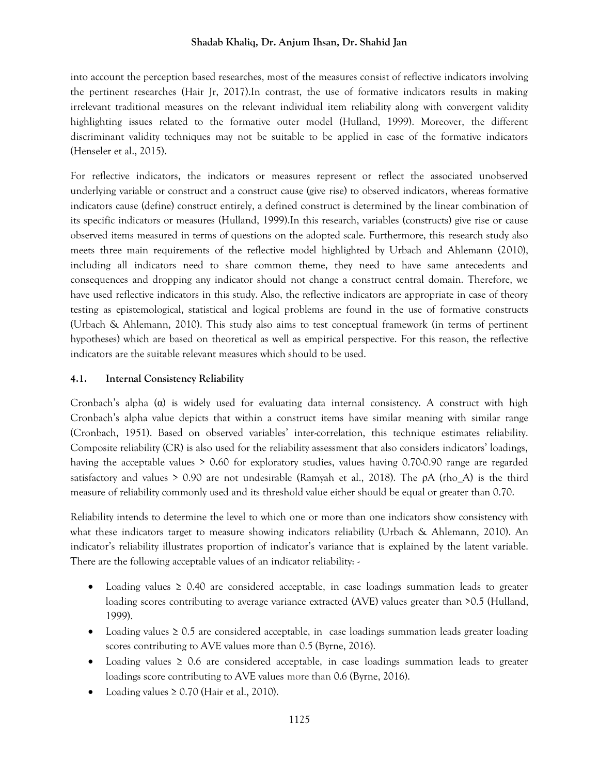into account the perception based researches, most of the measures consist of reflective indicators involving the pertinent researches (Hair Jr, 2017).In contrast, the use of formative indicators results in making irrelevant traditional measures on the relevant individual item reliability along with convergent validity highlighting issues related to the formative outer model (Hulland, 1999). Moreover, the different discriminant validity techniques may not be suitable to be applied in case of the formative indicators (Henseler et al., 2015).

For reflective indicators, the indicators or measures represent or reflect the associated unobserved underlying variable or construct and a construct cause (give rise) to observed indicators, whereas formative indicators cause (define) construct entirely, a defined construct is determined by the linear combination of its specific indicators or measures (Hulland, 1999).In this research, variables (constructs) give rise or cause observed items measured in terms of questions on the adopted scale. Furthermore, this research study also meets three main requirements of the reflective model highlighted by Urbach and Ahlemann (2010), including all indicators need to share common theme, they need to have same antecedents and consequences and dropping any indicator should not change a construct central domain. Therefore, we have used reflective indicators in this study. Also, the reflective indicators are appropriate in case of theory testing as epistemological, statistical and logical problems are found in the use of formative constructs (Urbach & Ahlemann, 2010). This study also aims to test conceptual framework (in terms of pertinent hypotheses) which are based on theoretical as well as empirical perspective. For this reason, the reflective indicators are the suitable relevant measures which should to be used.

## **4.1. Internal Consistency Reliability**

Cronbach's alpha  $(\alpha)$  is widely used for evaluating data internal consistency. A construct with high Cronbach's alpha value depicts that within a construct items have similar meaning with similar range (Cronbach, 1951). Based on observed variables' inter-correlation, this technique estimates reliability. Composite reliability (CR) is also used for the reliability assessment that also considers indicators' loadings, having the acceptable values > 0**.**60 for exploratory studies, values having 0.70-0.90 range are regarded satisfactory and values > 0.90 are not undesirable (Ramyah et al., 2018). The ρA (rho\_A) is the third measure of reliability commonly used and its threshold value either should be equal or greater than 0.70.

Reliability intends to determine the level to which one or more than one indicators show consistency with what these indicators target to measure showing indicators reliability (Urbach & Ahlemann, 2010). An indicator's reliability illustrates proportion of indicator's variance that is explained by the latent variable. There are the following acceptable values of an indicator reliability: -

- Loading values ≥ 0.40 are considered acceptable, in case loadings summation leads to greater loading scores contributing to average variance extracted (AVE) values greater than **>**0.5 (Hulland, 1999).
- Loading values ≥ 0.5 are considered acceptable, in case loadings summation leads greater loading scores contributing to AVE values more than 0.5 (Byrne, 2016).
- Loading values  $\geq 0.6$  are considered acceptable, in case loadings summation leads to greater loadings score contributing to AVE values more than 0.6 (Byrne, 2016).
- Loading values  $\geq 0.70$  (Hair et al., 2010).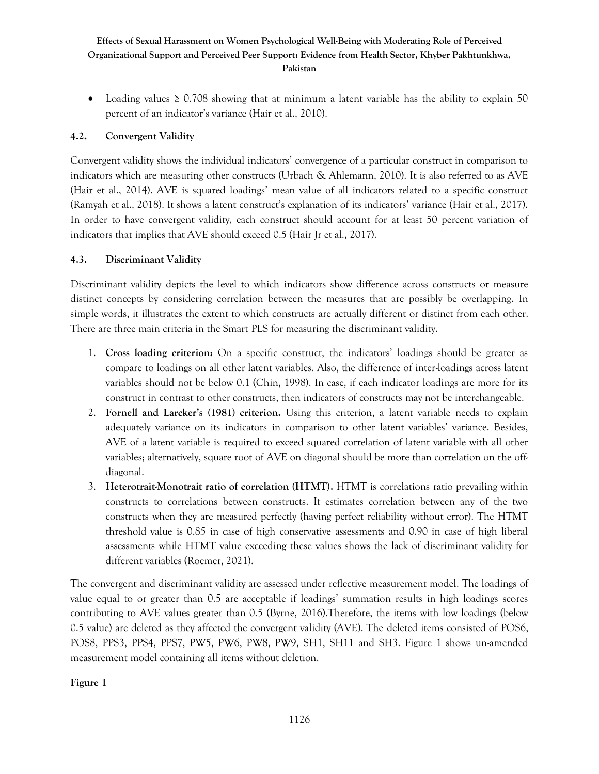• Loading values  $\geq 0.708$  showing that at minimum a latent variable has the ability to explain 50 percent of an indicator's variance (Hair et al., 2010).

## **4.2. Convergent Validity**

Convergent validity shows the individual indicators' convergence of a particular construct in comparison to indicators which are measuring other constructs (Urbach & Ahlemann, 2010). It is also referred to as AVE (Hair et al., 2014). AVE is squared loadings' mean value of all indicators related to a specific construct (Ramyah et al., 2018). It shows a latent construct's explanation of its indicators' variance (Hair et al., 2017). In order to have convergent validity, each construct should account for at least 50 percent variation of indicators that implies that AVE should exceed 0.5 (Hair Jr et al., 2017).

## **4.3. Discriminant Validity**

Discriminant validity depicts the level to which indicators show difference across constructs or measure distinct concepts by considering correlation between the measures that are possibly be overlapping. In simple words, it illustrates the extent to which constructs are actually different or distinct from each other. There are three main criteria in the Smart PLS for measuring the discriminant validity.

- 1. **Cross loading criterion:** On a specific construct, the indicators' loadings should be greater as compare to loadings on all other latent variables. Also, the difference of inter-loadings across latent variables should not be below 0.1 (Chin, 1998). In case, if each indicator loadings are more for its construct in contrast to other constructs, then indicators of constructs may not be interchangeable.
- 2. **Fornell and Larcker's (1981) criterion.** Using this criterion, a latent variable needs to explain adequately variance on its indicators in comparison to other latent variables' variance. Besides, AVE of a latent variable is required to exceed squared correlation of latent variable with all other variables; alternatively, square root of AVE on diagonal should be more than correlation on the offdiagonal.
- 3. **Heterotrait-Monotrait ratio of correlation (HTMT).** HTMT is correlations ratio prevailing within constructs to correlations between constructs. It estimates correlation between any of the two constructs when they are measured perfectly (having perfect reliability without error). The HTMT threshold value is 0.85 in case of high conservative assessments and 0.90 in case of high liberal assessments while HTMT value exceeding these values shows the lack of discriminant validity for different variables (Roemer, 2021).

The convergent and discriminant validity are assessed under reflective measurement model. The loadings of value equal to or greater than 0.5 are acceptable if loadings' summation results in high loadings scores contributing to AVE values greater than 0.5 (Byrne, 2016).Therefore, the items with low loadings (below 0.5 value) are deleted as they affected the convergent validity (AVE). The deleted items consisted of POS6, POS8, PPS3, PPS4, PPS7, PW5, PW6, PW8, PW9, SH1, SH11 and SH3. Figure 1 shows un-amended measurement model containing all items without deletion.

**Figure 1**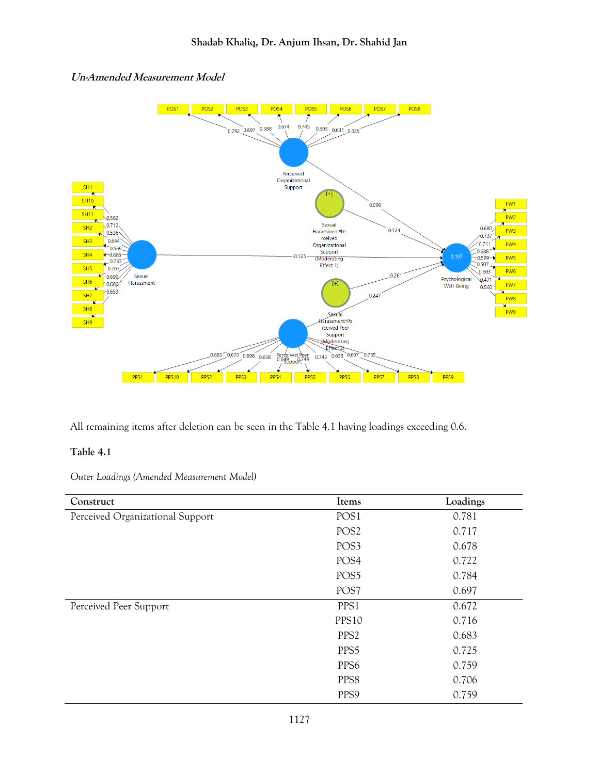

## **Un-Amended Measurement Model**

All remaining items after deletion can be seen in the Table 4.1 having loadings exceeding 0.6.

## **Table 4.1**

*Outer Loadings (Amended Measurement Model)*

| Construct                        | Items            | Loadings |
|----------------------------------|------------------|----------|
| Perceived Organizational Support | POS1             | 0.781    |
|                                  | POS <sub>2</sub> | 0.717    |
|                                  | POS3             | 0.678    |
|                                  | POS <sub>4</sub> | 0.722    |
|                                  | POS5             | 0.784    |
|                                  | POS7             | 0.697    |
| Perceived Peer Support           | PPS1             | 0.672    |
|                                  | PPS10            | 0.716    |
|                                  | PPS <sub>2</sub> | 0.683    |
|                                  | PPS5             | 0.725    |
|                                  | PPS <sub>6</sub> | 0.759    |
|                                  | PPS8             | 0.706    |
|                                  | PPS9             | 0.759    |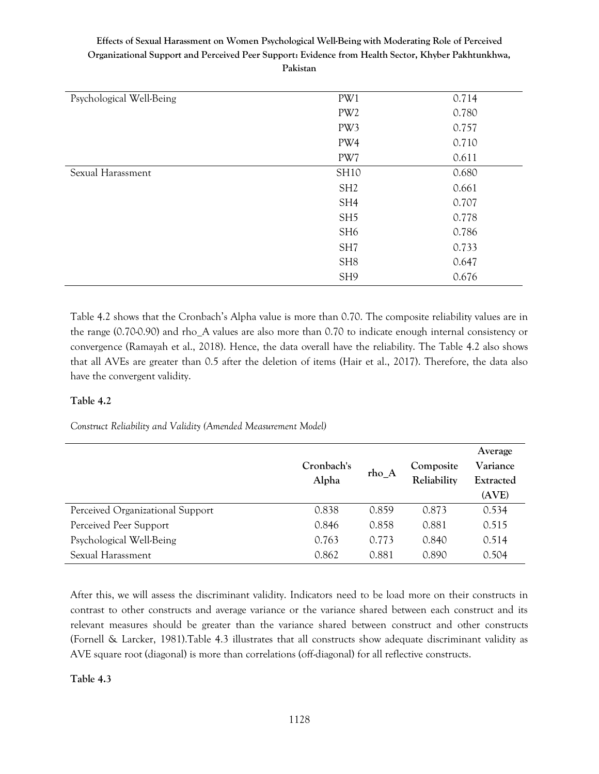| Psychological Well-Being | PW1             | 0.714 |
|--------------------------|-----------------|-------|
|                          | PW <sub>2</sub> | 0.780 |
|                          | PW3             | 0.757 |
|                          | PW4             | 0.710 |
|                          | PW7             | 0.611 |
| Sexual Harassment        | <b>SH10</b>     | 0.680 |
|                          | SH <sub>2</sub> | 0.661 |
|                          | SH <sub>4</sub> | 0.707 |
|                          | SH <sub>5</sub> | 0.778 |
|                          | SH <sub>6</sub> | 0.786 |
|                          | SH <sub>7</sub> | 0.733 |
|                          | SH <sub>8</sub> | 0.647 |
|                          | SH <sub>9</sub> | 0.676 |
|                          |                 |       |

Table 4.2 shows that the Cronbach's Alpha value is more than 0.70. The composite reliability values are in the range (0.70-0.90) and rho\_A values are also more than 0.70 to indicate enough internal consistency or convergence (Ramayah et al., 2018). Hence, the data overall have the reliability. The Table 4.2 also shows that all AVEs are greater than 0.5 after the deletion of items (Hair et al., 2017). Therefore, the data also have the convergent validity.

## **Table 4.2**

*Construct Reliability and Validity (Amended Measurement Model)* 

|                                  | Cronbach's<br>Alpha | rho_A | Composite<br>Reliability | Average<br>Variance<br>Extracted<br>(AVE) |
|----------------------------------|---------------------|-------|--------------------------|-------------------------------------------|
| Perceived Organizational Support | 0.838               | 0.859 | 0.873                    | 0.534                                     |
| Perceived Peer Support           | 0.846               | 0.858 | 0.881                    | 0.515                                     |
| Psychological Well-Being         | 0.763               | 0.773 | 0.840                    | 0.514                                     |
| Sexual Harassment                | 0.862               | 0.881 | 0.890                    | 0.504                                     |

After this, we will assess the discriminant validity. Indicators need to be load more on their constructs in contrast to other constructs and average variance or the variance shared between each construct and its relevant measures should be greater than the variance shared between construct and other constructs (Fornell & Larcker, 1981).Table 4.3 illustrates that all constructs show adequate discriminant validity as AVE square root (diagonal) is more than correlations (off-diagonal) for all reflective constructs.

**Table 4.3**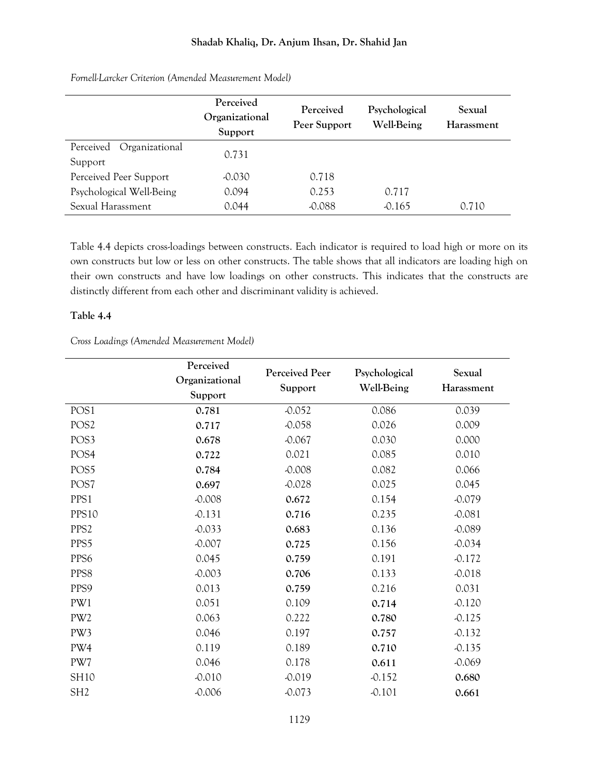|                                        | Perceived<br>Organizational<br>Support | Perceived<br>Peer Support | Psychological<br><b>Well-Being</b> | Sexual<br>Harassment |
|----------------------------------------|----------------------------------------|---------------------------|------------------------------------|----------------------|
| Perceived<br>Organizational<br>Support | 0.731                                  |                           |                                    |                      |
| Perceived Peer Support                 | $-0.030$                               | 0.718                     |                                    |                      |
| Psychological Well-Being               | 0.094                                  | 0.253                     | 0.717                              |                      |
| Sexual Harassment                      | 0.044                                  | $-0.088$                  | $-0.165$                           | 0.710                |

*Fornell-Larcker Criterion (Amended Measurement Model)*

Table 4.4 depicts cross-loadings between constructs. Each indicator is required to load high or more on its own constructs but low or less on other constructs. The table shows that all indicators are loading high on their own constructs and have low loadings on other constructs. This indicates that the constructs are distinctly different from each other and discriminant validity is achieved.

#### **Table 4.4**

*Cross Loadings (Amended Measurement Model)*

|                  | Perceived      |                |                   |            |
|------------------|----------------|----------------|-------------------|------------|
|                  | Organizational | Perceived Peer | Psychological     | Sexual     |
|                  | Support        | Support        | <b>Well-Being</b> | Harassment |
| POS1             | 0.781          | $-0.052$       | 0.086             | 0.039      |
| POS <sub>2</sub> | 0.717          | $-0.058$       | 0.026             | 0.009      |
| POS3             | 0.678          | $-0.067$       | 0.030             | 0.000      |
| POS <sub>4</sub> | 0.722          | 0.021          | 0.085             | 0.010      |
| POS5             | 0.784          | $-0.008$       | 0.082             | 0.066      |
| POS7             | 0.697          | $-0.028$       | 0.025             | 0.045      |
| PPS1             | $-0.008$       | 0.672          | 0.154             | $-0.079$   |
| PPS10            | $-0.131$       | 0.716          | 0.235             | $-0.081$   |
| PPS <sub>2</sub> | $-0.033$       | 0.683          | 0.136             | $-0.089$   |
| PPS5             | $-0.007$       | 0.725          | 0.156             | $-0.034$   |
| PPS6             | 0.045          | 0.759          | 0.191             | $-0.172$   |
| PPS8             | $-0.003$       | 0.706          | 0.133             | $-0.018$   |
| PPS9             | 0.013          | 0.759          | 0.216             | 0.031      |
| PW1              | 0.051          | 0.109          | 0.714             | $-0.120$   |
| PW <sub>2</sub>  | 0.063          | 0.222          | 0.780             | $-0.125$   |
| PW3              | 0.046          | 0.197          | 0.757             | $-0.132$   |
| PW4              | 0.119          | 0.189          | 0.710             | $-0.135$   |
| PW7              | 0.046          | 0.178          | 0.611             | $-0.069$   |
| SH10             | $-0.010$       | $-0.019$       | $-0.152$          | 0.680      |
| SH <sub>2</sub>  | $-0.006$       | $-0.073$       | $-0.101$          | 0.661      |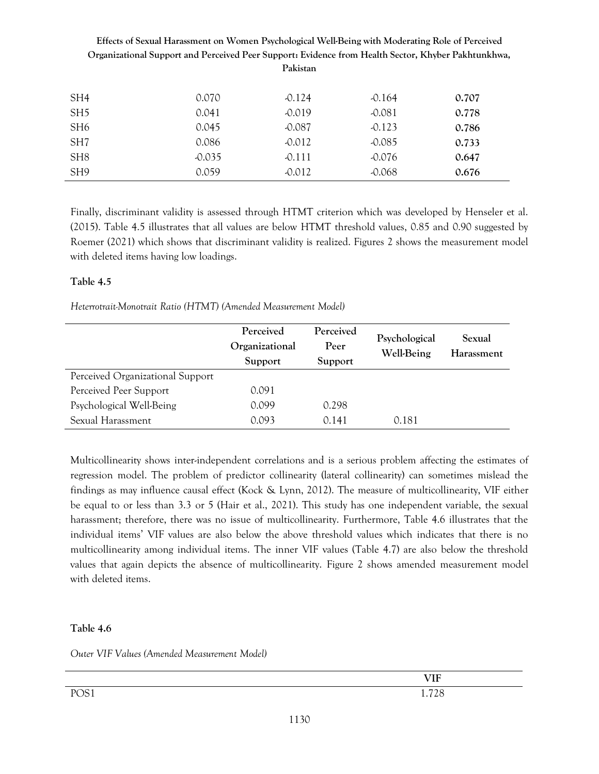|                 | Organizational Support and Perceived Peer Support: Evidence from Health Sector, Khyber Pakhtunkhwa, | Pakistan |          |       |
|-----------------|-----------------------------------------------------------------------------------------------------|----------|----------|-------|
| SH4             | 0.070                                                                                               | $-0.124$ | $-0.164$ | 0.707 |
| SH <sub>5</sub> | 0.041                                                                                               | $-0.019$ | $-0.081$ | 0.778 |
| SH <sub>6</sub> | 0.045                                                                                               | $-0.087$ | $-0.123$ | 0.786 |
| SH <sub>7</sub> | 0.086                                                                                               | $-0.012$ | $-0.085$ | 0.733 |
| SH <sub>8</sub> | $-0.035$                                                                                            | $-0.111$ | $-0.076$ | 0.647 |
| SH <sub>9</sub> | 0.059                                                                                               | $-0.012$ | $-0.068$ | 0.676 |

Finally, discriminant validity is assessed through HTMT criterion which was developed by Henseler et al. (2015). Table 4.5 illustrates that all values are below HTMT threshold values, 0.85 and 0.90 suggested by Roemer (2021) which shows that discriminant validity is realized. Figures 2 shows the measurement model with deleted items having low loadings.

## **Table 4.5**

*Heterrotrait-Monotrait Ratio (HTMT) (Amended Measurement Model)*

|                                  | Perceived<br>Organizational<br>Support | Perceived<br>Peer<br>Support | Psychological<br><b>Well-Being</b> | Sexual<br>Harassment |
|----------------------------------|----------------------------------------|------------------------------|------------------------------------|----------------------|
| Perceived Organizational Support |                                        |                              |                                    |                      |
| Perceived Peer Support           | 0.091                                  |                              |                                    |                      |
| Psychological Well-Being         | 0.099                                  | 0.298                        |                                    |                      |
| Sexual Harassment                | 0.093                                  | 0.141                        | 0.181                              |                      |

Multicollinearity shows inter-independent correlations and is a serious problem affecting the estimates of regression model. The problem of predictor collinearity (lateral collinearity) can sometimes mislead the findings as may influence causal effect (Kock & Lynn, 2012). The measure of multicollinearity, VIF either be equal to or less than 3.3 or 5 (Hair et al., 2021). This study has one independent variable, the sexual harassment; therefore, there was no issue of multicollinearity. Furthermore, Table 4.6 illustrates that the individual items' VIF values are also below the above threshold values which indicates that there is no multicollinearity among individual items. The inner VIF values (Table 4.7) are also below the threshold values that again depicts the absence of multicollinearity. Figure 2 shows amended measurement model with deleted items.

## **Table 4.6**

*Outer VIF Values (Amended Measurement Model)*

|      | <b>VIF</b> |
|------|------------|
| POS1 | 1.728      |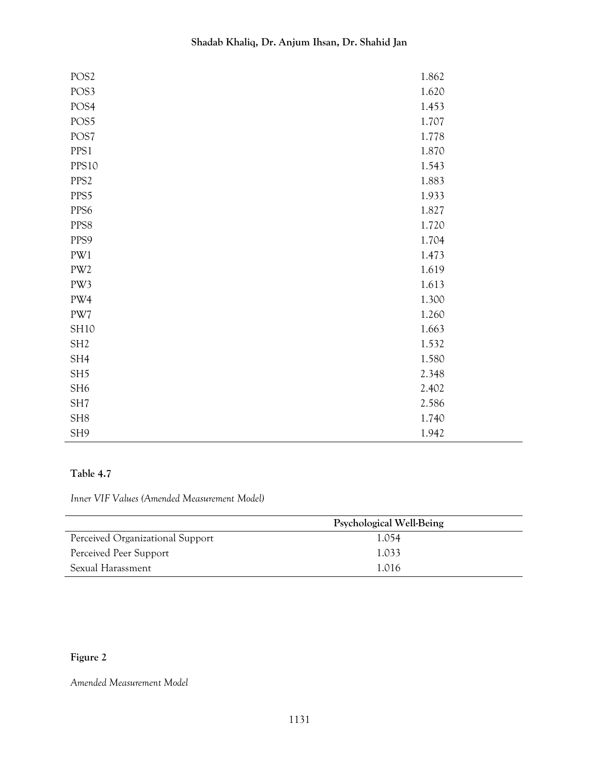| POS <sub>2</sub> | 1.862 |
|------------------|-------|
| POS3             | 1.620 |
| POS <sub>4</sub> | 1.453 |
| POS5             | 1.707 |
| POS7             | 1.778 |
| PPS1             | 1.870 |
| PPS10            | 1.543 |
| PPS <sub>2</sub> | 1.883 |
| PPS5             | 1.933 |
| PPS6             | 1.827 |
| PPS8             | 1.720 |
| PPS9             | 1.704 |
| PW1              | 1.473 |
| PW <sub>2</sub>  | 1.619 |
| PW3              | 1.613 |
| PW4              | 1.300 |
| PW7              | 1.260 |
| <b>SH10</b>      | 1.663 |
| SH <sub>2</sub>  | 1.532 |
| SH4              | 1.580 |
| SH <sub>5</sub>  | 2.348 |
| SH <sub>6</sub>  | 2.402 |
| SH <sub>7</sub>  | 2.586 |
| SH <sub>8</sub>  | 1.740 |
| SH <sub>9</sub>  | 1.942 |

## **Table 4.7**

*Inner VIF Values (Amended Measurement Model)*

|                                  | Psychological Well-Being |  |
|----------------------------------|--------------------------|--|
| Perceived Organizational Support | 1.054                    |  |
| Perceived Peer Support           | 1.033                    |  |
| Sexual Harassment                | 1.016                    |  |

## **Figure 2**

*Amended Measurement Model*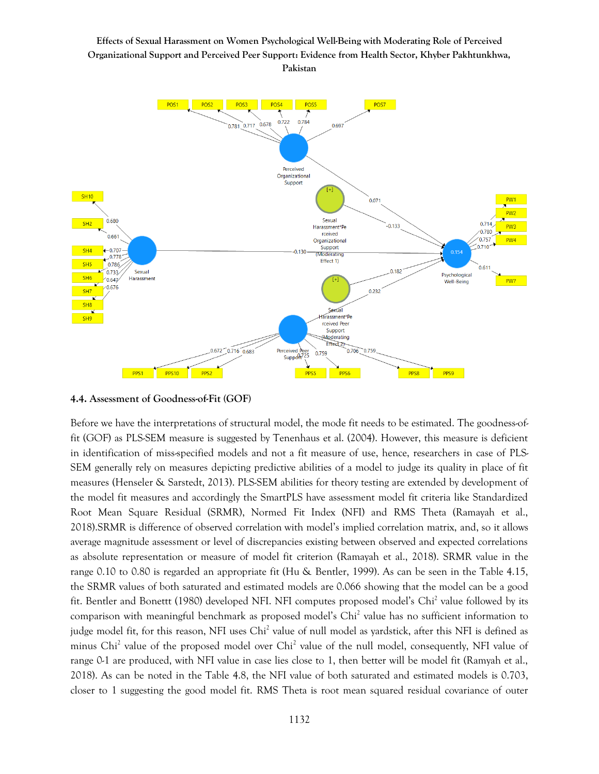

#### **4.4. Assessment of Goodness-of-Fit (GOF)**

Before we have the interpretations of structural model, the mode fit needs to be estimated. The goodness-offit (GOF) as PLS-SEM measure is suggested by Tenenhaus et al. (2004). However, this measure is deficient in identification of miss-specified models and not a fit measure of use, hence, researchers in case of PLS-SEM generally rely on measures depicting predictive abilities of a model to judge its quality in place of fit measures (Henseler & Sarstedt, 2013). PLS-SEM abilities for theory testing are extended by development of the model fit measures and accordingly the SmartPLS have assessment model fit criteria like Standardized Root Mean Square Residual (SRMR), Normed Fit Index (NFI) and RMS Theta (Ramayah et al., 2018).SRMR is difference of observed correlation with model's implied correlation matrix, and, so it allows average magnitude assessment or level of discrepancies existing between observed and expected correlations as absolute representation or measure of model fit criterion (Ramayah et al., 2018). SRMR value in the range 0.10 to 0.80 is regarded an appropriate fit (Hu & Bentler, 1999). As can be seen in the Table 4.15, the SRMR values of both saturated and estimated models are 0.066 showing that the model can be a good fit. Bentler and Bonettt (1980) developed NFI. NFI computes proposed model's Chi<sup>2</sup> value followed by its comparison with meaningful benchmark as proposed model's Chi<sup>2</sup> value has no sufficient information to judge model fit, for this reason, NFI uses Chi<sup>2</sup> value of null model as yardstick, after this NFI is defined as minus Chi<sup>2</sup> value of the proposed model over Chi<sup>2</sup> value of the null model, consequently, NFI value of range 0-1 are produced, with NFI value in case lies close to 1, then better will be model fit (Ramyah et al., 2018). As can be noted in the Table 4.8, the NFI value of both saturated and estimated models is 0.703, closer to 1 suggesting the good model fit. RMS Theta is root mean squared residual covariance of outer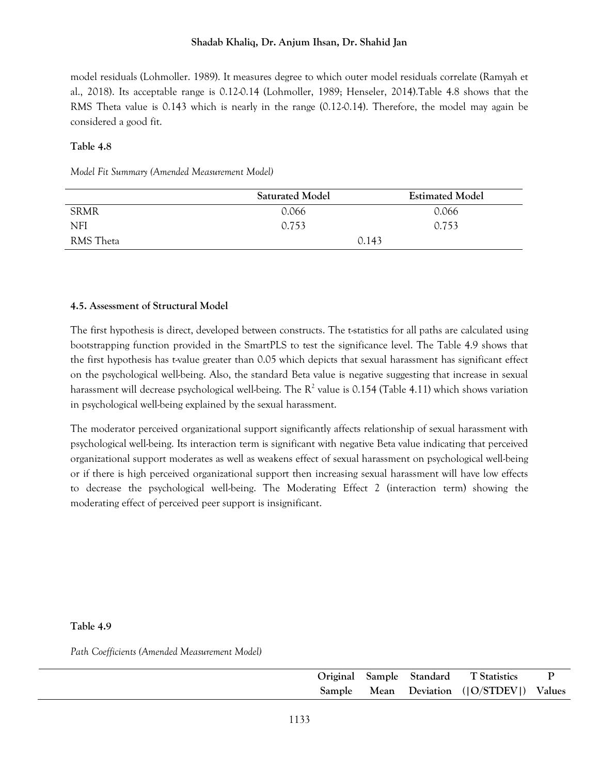model residuals (Lohmoller. 1989). It measures degree to which outer model residuals correlate (Ramyah et al., 2018). Its acceptable range is 0.12-0.14 (Lohmoller, 1989; Henseler, 2014).Table 4.8 shows that the RMS Theta value is 0.143 which is nearly in the range (0.12-0.14). Therefore, the model may again be considered a good fit.

#### **Table 4.8**

*Model Fit Summary (Amended Measurement Model)* 

|             | <b>Saturated Model</b> | <b>Estimated Model</b> |
|-------------|------------------------|------------------------|
| <b>SRMR</b> | 0.066                  | 0.066                  |
| <b>NFI</b>  | 0.753                  | 0.753                  |
| RMS Theta   | 0.143                  |                        |

## **4.5. Assessment of Structural Model**

The first hypothesis is direct, developed between constructs. The t-statistics for all paths are calculated using bootstrapping function provided in the SmartPLS to test the significance level. The Table 4.9 shows that the first hypothesis has t-value greater than 0.05 which depicts that sexual harassment has significant effect on the psychological well-being. Also, the standard Beta value is negative suggesting that increase in sexual harassment will decrease psychological well-being. The  $R^2$  value is 0.154 (Table 4.11) which shows variation in psychological well-being explained by the sexual harassment.

The moderator perceived organizational support significantly affects relationship of sexual harassment with psychological well-being. Its interaction term is significant with negative Beta value indicating that perceived organizational support moderates as well as weakens effect of sexual harassment on psychological well-being or if there is high perceived organizational support then increasing sexual harassment will have low effects to decrease the psychological well-being. The Moderating Effect 2 (interaction term) showing the moderating effect of perceived peer support is insignificant.

#### **Table 4.9**

*Path Coefficients (Amended Measurement Model)*

|  |  | Original Sample Standard T Statistics   |  |
|--|--|-----------------------------------------|--|
|  |  | Sample Mean Deviation ((O/STDEV) Values |  |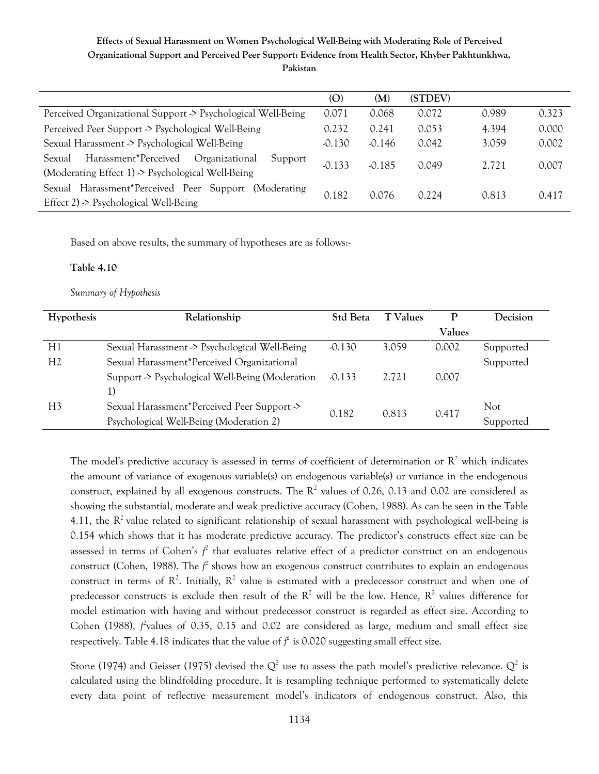|                                                                                                                      | (O)      | (M)      | (STDEV) |       |       |
|----------------------------------------------------------------------------------------------------------------------|----------|----------|---------|-------|-------|
| Perceived Organizational Support > Psychological Well-Being                                                          |          | 0.068    | 0.072   | 0.989 | 0.323 |
| Perceived Peer Support -> Psychological Well-Being                                                                   |          | 0.241    | 0.053   | 4.394 | 0.000 |
| Sexual Harassment > Psychological Well-Being                                                                         |          | $-0.146$ | 0.042   | 3.059 | 0.002 |
| Harassment*Perceived<br>Organizational<br>Sexual<br>Support<br>(Moderating Effect 1) $\geq$ Psychological Well-Being | $-0.133$ | $-0.185$ | 0.049   | 2.721 | 0.007 |
| Sexual Harassment*Perceived Peer Support (Moderating<br>Effect $2$ ) $\geq$ Psychological Well-Being                 | 0.182    | 0.076    | 0.224   | 0.813 | 0.417 |

Based on above results, the summary of hypotheses are as follows:-

#### **Table 4.10**

*Summary of Hypothesis* 

| Hypothesis     | Relationship                                   | <b>Std Beta</b> | <b>T</b> Values | P             | <b>Decision</b> |
|----------------|------------------------------------------------|-----------------|-----------------|---------------|-----------------|
|                |                                                |                 |                 | <b>Values</b> |                 |
| H1             | Sexual Harassment > Psychological Well-Being   | $-0.130$        | 3.059           | 0.002         | Supported       |
| H <sub>2</sub> | Sexual Harassment*Perceived Organizational     |                 |                 |               | Supported       |
|                | Support > Psychological Well-Being (Moderation | $-0.133$        | 2.721           | 0.007         |                 |
|                | 1)                                             |                 |                 |               |                 |
| H <sub>3</sub> | Sexual Harassment*Perceived Peer Support >>    | 0.182           | 0.813           | 0.417         | Not.            |
|                | Psychological Well-Being (Moderation 2)        |                 |                 |               | Supported       |

The model's predictive accuracy is assessed in terms of coefficient of determination or  $R^2$  which indicates the amount of variance of exogenous variable(s) on endogenous variable(s) or variance in the endogenous construct, explained by all exogenous constructs. The  $R^2$  values of 0.26, 0.13 and 0.02 are considered as showing the substantial, moderate and weak predictive accuracy (Cohen, 1988). As can be seen in the Table 4.11, the  $R^2$  value related to significant relationship of sexual harassment with psychological well-being is 0.154 which shows that it has moderate predictive accuracy. The predictor's constructs effect size can be assessed in terms of Cohen's *f* 2 that evaluates relative effect of a predictor construct on an endogenous construct (Cohen, 1988). The  $f^2$  shows how an exogenous construct contributes to explain an endogenous construct in terms of  $\mathbb{R}^2$ . Initially,  $\mathbb{R}^2$  value is estimated with a predecessor construct and when one of predecessor constructs is exclude then result of the  $R^2$  will be the low. Hence,  $R^2$  values difference for model estimation with having and without predecessor construct is regarded as effect size. According to Cohen (1988),  $f^2$ values of 0.35, 0.15 and 0.02 are considered as large, medium and small effect size respectively. Table 4.18 indicates that the value of  $f^2$  is 0.020 suggesting small effect size.

Stone (1974) and Geisser (1975) devised the  $Q^2$  use to assess the path model's predictive relevance.  $Q^2$  is calculated using the blindfolding procedure. It is resampling technique performed to systematically delete every data point of reflective measurement model's indicators of endogenous construct. Also, this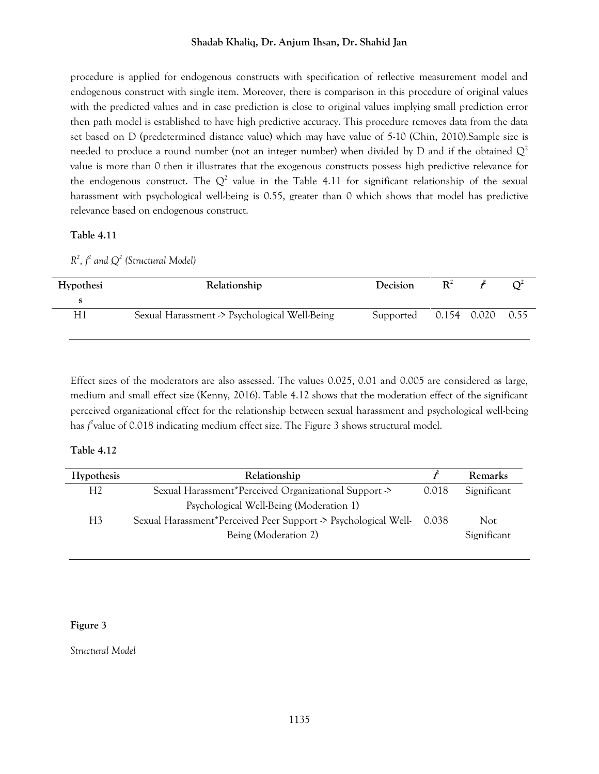procedure is applied for endogenous constructs with specification of reflective measurement model and endogenous construct with single item. Moreover, there is comparison in this procedure of original values with the predicted values and in case prediction is close to original values implying small prediction error then path model is established to have high predictive accuracy. This procedure removes data from the data set based on D (predetermined distance value) which may have value of 5-10 (Chin, 2010).Sample size is needed to produce a round number (not an integer number) when divided by D and if the obtained  $Q^2$ value is more than 0 then it illustrates that the exogenous constructs possess high predictive relevance for the endogenous construct. The  $Q^2$  value in the Table 4.11 for significant relationship of the sexual harassment with psychological well-being is 0.55, greater than 0 which shows that model has predictive relevance based on endogenous construct.

#### **Table 4.11**

 $R^2$ ,  $f^2$  *and*  $Q^2$  *(Structural Model)* 

| Hypothesi | Relationship                                 | Decision                   | $\mathbf{R}^2$ |  |
|-----------|----------------------------------------------|----------------------------|----------------|--|
|           |                                              |                            |                |  |
| H1        | Sexual Harassment > Psychological Well-Being | Supported 0.154 0.020 0.55 |                |  |

Effect sizes of the moderators are also assessed. The values 0.025, 0.01 and 0.005 are considered as large, medium and small effect size (Kenny, 2016). Table 4.12 shows that the moderation effect of the significant perceived organizational effect for the relationship between sexual harassment and psychological well-being has *f*<sup>2</sup>value of 0.018 indicating medium effect size. The Figure 3 shows structural model.

## **Table 4.12**

| Hypothesis     | Relationship                                                   |       | Remarks     |
|----------------|----------------------------------------------------------------|-------|-------------|
| H <sub>2</sub> | Sexual Harassment*Perceived Organizational Support ->          | 0.018 | Significant |
|                | Psychological Well-Being (Moderation 1)                        |       |             |
| H3             | Sexual Harassment*Perceived Peer Support > Psychological Well- | 0.038 | Not.        |
|                | Being (Moderation 2)                                           |       | Significant |
|                |                                                                |       |             |

## **Figure 3**

*Structural Model*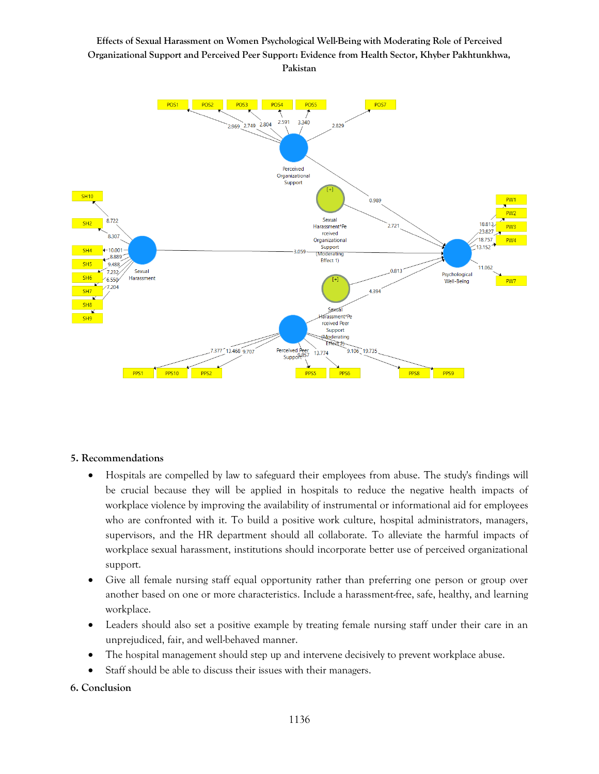

## **5. Recommendations**

- Hospitals are compelled by law to safeguard their employees from abuse. The study's findings will be crucial because they will be applied in hospitals to reduce the negative health impacts of workplace violence by improving the availability of instrumental or informational aid for employees who are confronted with it. To build a positive work culture, hospital administrators, managers, supervisors, and the HR department should all collaborate. To alleviate the harmful impacts of workplace sexual harassment, institutions should incorporate better use of perceived organizational support.
- Give all female nursing staff equal opportunity rather than preferring one person or group over another based on one or more characteristics. Include a harassment-free, safe, healthy, and learning workplace.
- Leaders should also set a positive example by treating female nursing staff under their care in an unprejudiced, fair, and well-behaved manner.
- The hospital management should step up and intervene decisively to prevent workplace abuse.
- Staff should be able to discuss their issues with their managers.

## **6. Conclusion**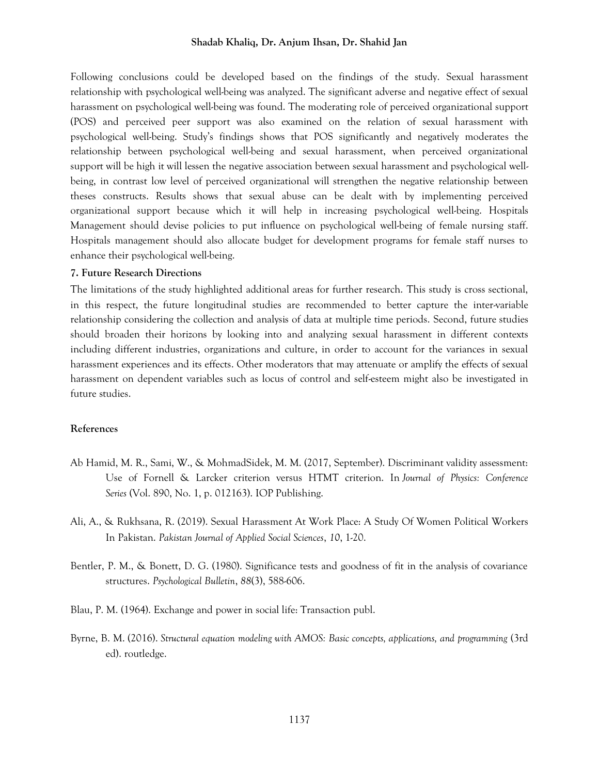Following conclusions could be developed based on the findings of the study. Sexual harassment relationship with psychological well-being was analyzed. The significant adverse and negative effect of sexual harassment on psychological well-being was found. The moderating role of perceived organizational support (POS) and perceived peer support was also examined on the relation of sexual harassment with psychological well-being. Study's findings shows that POS significantly and negatively moderates the relationship between psychological well-being and sexual harassment, when perceived organizational support will be high it will lessen the negative association between sexual harassment and psychological wellbeing, in contrast low level of perceived organizational will strengthen the negative relationship between theses constructs. Results shows that sexual abuse can be dealt with by implementing perceived organizational support because which it will help in increasing psychological well-being. Hospitals Management should devise policies to put influence on psychological well-being of female nursing staff. Hospitals management should also allocate budget for development programs for female staff nurses to enhance their psychological well-being.

#### **7. Future Research Directions**

The limitations of the study highlighted additional areas for further research. This study is cross sectional, in this respect, the future longitudinal studies are recommended to better capture the inter-variable relationship considering the collection and analysis of data at multiple time periods. Second, future studies should broaden their horizons by looking into and analyzing sexual harassment in different contexts including different industries, organizations and culture, in order to account for the variances in sexual harassment experiences and its effects. Other moderators that may attenuate or amplify the effects of sexual harassment on dependent variables such as locus of control and self-esteem might also be investigated in future studies.

#### **References**

- Ab Hamid, M. R., Sami, W., & MohmadSidek, M. M. (2017, September). Discriminant validity assessment: Use of Fornell & Larcker criterion versus HTMT criterion. In *Journal of Physics: Conference Series* (Vol. 890, No. 1, p. 012163). IOP Publishing.
- Ali, A., & Rukhsana, R. (2019). Sexual Harassment At Work Place: A Study Of Women Political Workers In Pakistan. *Pakistan Journal of Applied Social Sciences*, *10*, 1-20.
- Bentler, P. M., & Bonett, D. G. (1980). Significance tests and goodness of fit in the analysis of covariance structures. *Psychological Bulletin*, *88*(3), 588-606.
- Blau, P. M. (1964). Exchange and power in social life: Transaction publ.
- Byrne, B. M. (2016). *Structural equation modeling with AMOS: Basic concepts, applications, and programming* (3rd ed). routledge.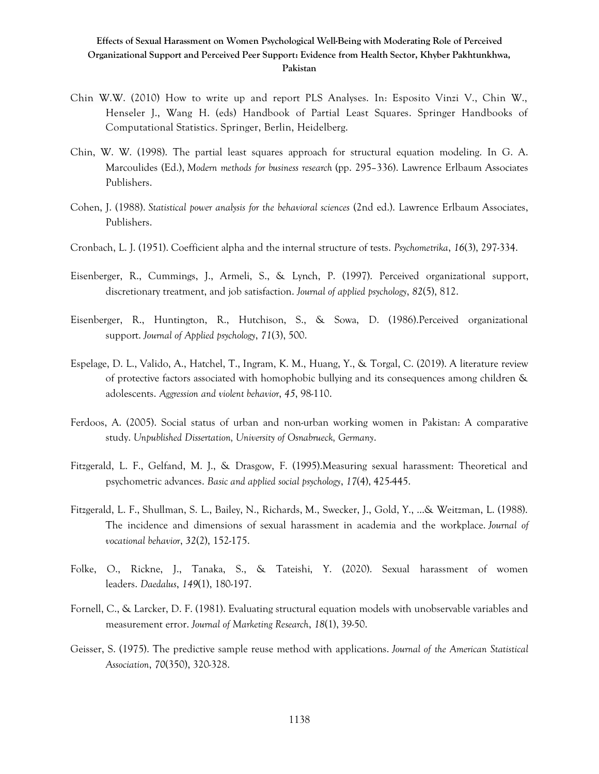- Chin W.W. (2010) How to write up and report PLS Analyses. In: Esposito Vinzi V., Chin W., Henseler J., Wang H. (eds) Handbook of Partial Least Squares. Springer Handbooks of Computational Statistics. Springer, Berlin, Heidelberg.
- Chin, W. W. (1998). The partial least squares approach for structural equation modeling. In G. A. Marcoulides (Ed.), *Modern methods for business research* (pp. 295–336). Lawrence Erlbaum Associates Publishers.
- Cohen, J. (1988). *Statistical power analysis for the behavioral sciences* (2nd ed.). Lawrence Erlbaum Associates, Publishers.
- Cronbach, L. J. (1951). Coefficient alpha and the internal structure of tests. *Psychometrika*, *16*(3), 297-334.
- Eisenberger, R., Cummings, J., Armeli, S., & Lynch, P. (1997). Perceived organizational support, discretionary treatment, and job satisfaction. *Journal of applied psychology*, *82*(5), 812.
- Eisenberger, R., Huntington, R., Hutchison, S., & Sowa, D. (1986).Perceived organizational support. *Journal of Applied psychology*, *71*(3), 500.
- Espelage, D. L., Valido, A., Hatchel, T., Ingram, K. M., Huang, Y., & Torgal, C. (2019). A literature review of protective factors associated with homophobic bullying and its consequences among children & adolescents. *Aggression and violent behavior*, *45*, 98-110.
- Ferdoos, A. (2005). Social status of urban and non-urban working women in Pakistan: A comparative study. *Unpublished Dissertation, University of Osnabrueck, Germany*.
- Fitzgerald, L. F., Gelfand, M. J., & Drasgow, F. (1995).Measuring sexual harassment: Theoretical and psychometric advances. *Basic and applied social psychology*, *17*(4), 425-445.
- Fitzgerald, L. F., Shullman, S. L., Bailey, N., Richards, M., Swecker, J., Gold, Y., ...& Weitzman, L. (1988). The incidence and dimensions of sexual harassment in academia and the workplace. *Journal of vocational behavior*, *32*(2), 152-175.
- Folke, O., Rickne, J., Tanaka, S., & Tateishi, Y. (2020). Sexual harassment of women leaders. *Daedalus*, *149*(1), 180-197.
- Fornell, C., & Larcker, D. F. (1981). Evaluating structural equation models with unobservable variables and measurement error. *Journal of Marketing Research*, *18*(1), 39-50.
- Geisser, S. (1975). The predictive sample reuse method with applications. *Journal of the American Statistical Association*, *70*(350), 320-328.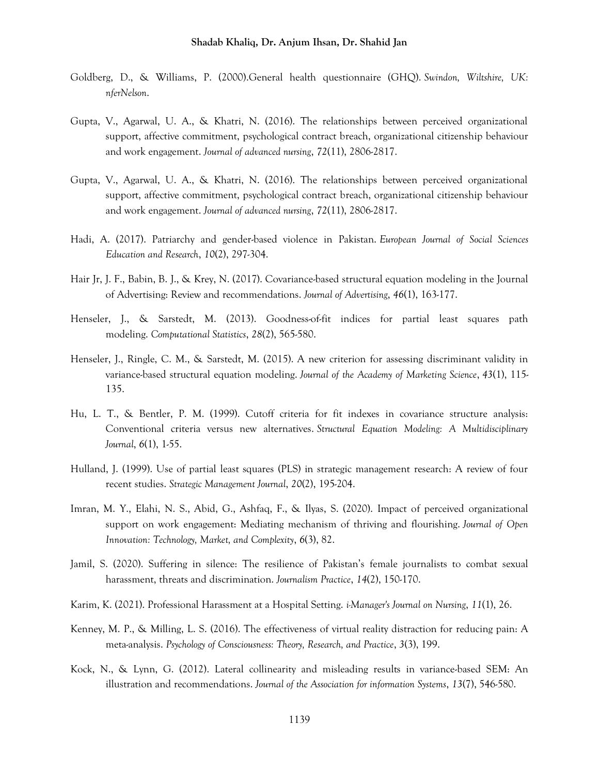- Goldberg, D., & Williams, P. (2000).General health questionnaire (GHQ). *Swindon, Wiltshire, UK: nferNelson*.
- Gupta, V., Agarwal, U. A., & Khatri, N. (2016). The relationships between perceived organizational support, affective commitment, psychological contract breach, organizational citizenship behaviour and work engagement. *Journal of advanced nursing*, *72*(11), 2806-2817.
- Gupta, V., Agarwal, U. A., & Khatri, N. (2016). The relationships between perceived organizational support, affective commitment, psychological contract breach, organizational citizenship behaviour and work engagement. *Journal of advanced nursing*, *72*(11), 2806-2817.
- Hadi, A. (2017). Patriarchy and gender-based violence in Pakistan. *European Journal of Social Sciences Education and Research*, *10*(2), 297-304.
- Hair Jr, J. F., Babin, B. J., & Krey, N. (2017). Covariance-based structural equation modeling in the Journal of Advertising: Review and recommendations. *Journal of Advertising*, *46*(1), 163-177.
- Henseler, J., & Sarstedt, M. (2013). Goodness-of-fit indices for partial least squares path modeling. *Computational Statistics*, *28*(2), 565-580.
- Henseler, J., Ringle, C. M., & Sarstedt, M. (2015). A new criterion for assessing discriminant validity in variance-based structural equation modeling. *Journal of the Academy of Marketing Science*, *43*(1), 115- 135.
- Hu, L. T., & Bentler, P. M. (1999). Cutoff criteria for fit indexes in covariance structure analysis: Conventional criteria versus new alternatives. *Structural Equation Modeling: A Multidisciplinary Journal*, *6*(1), 1-55.
- Hulland, J. (1999). Use of partial least squares (PLS) in strategic management research: A review of four recent studies. *Strategic Management Journal*, *20*(2), 195-204.
- Imran, M. Y., Elahi, N. S., Abid, G., Ashfaq, F., & Ilyas, S. (2020). Impact of perceived organizational support on work engagement: Mediating mechanism of thriving and flourishing. *Journal of Open Innovation: Technology, Market, and Complexity*, *6*(3), 82.
- Jamil, S. (2020). Suffering in silence: The resilience of Pakistan's female journalists to combat sexual harassment, threats and discrimination. *Journalism Practice*, *14*(2), 150-170.
- Karim, K. (2021). Professional Harassment at a Hospital Setting. *i-Manager's Journal on Nursing*, *11*(1), 26.
- Kenney, M. P., & Milling, L. S. (2016). The effectiveness of virtual reality distraction for reducing pain: A meta-analysis. *Psychology of Consciousness: Theory, Research, and Practice*, *3*(3), 199.
- Kock, N., & Lynn, G. (2012). Lateral collinearity and misleading results in variance-based SEM: An illustration and recommendations. *Journal of the Association for information Systems*, *13*(7), 546-580.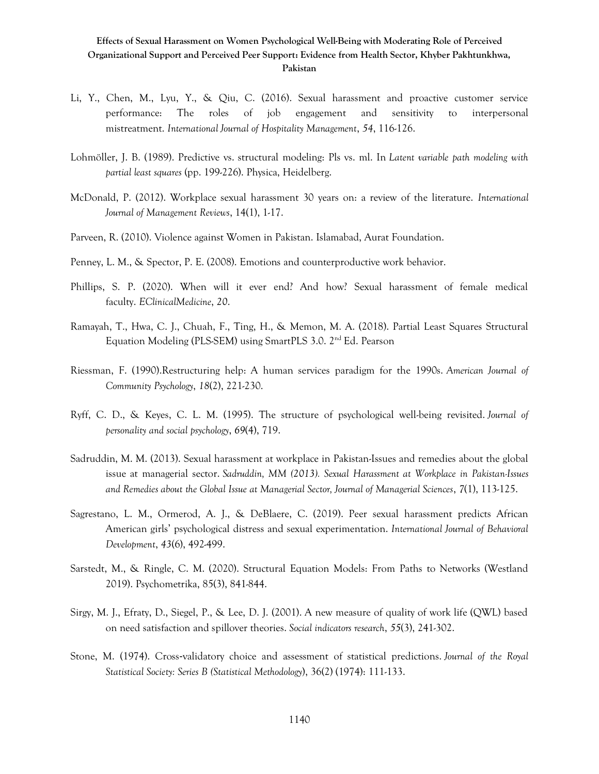- Li, Y., Chen, M., Lyu, Y., & Qiu, C. (2016). Sexual harassment and proactive customer service performance: The roles of job engagement and sensitivity to interpersonal mistreatment. *International Journal of Hospitality Management*, *54*, 116-126.
- Lohmöller, J. B. (1989). Predictive vs. structural modeling: Pls vs. ml. In *Latent variable path modeling with partial least squares* (pp. 199-226). Physica, Heidelberg.
- McDonald, P. (2012). Workplace sexual harassment 30 years on: a review of the literature. *International Journal of Management Reviews*, 14(1), 1-17.
- Parveen, R. (2010). Violence against Women in Pakistan. Islamabad, Aurat Foundation.
- Penney, L. M., & Spector, P. E. (2008). Emotions and counterproductive work behavior.
- Phillips, S. P. (2020). When will it ever end? And how? Sexual harassment of female medical faculty. *EClinicalMedicine*, *20*.
- Ramayah, T., Hwa, C. J., Chuah, F., Ting, H., & Memon, M. A. (2018). Partial Least Squares Structural Equation Modeling (PLS-SEM) using SmartPLS 3.0. 2nd Ed. Pearson
- Riessman, F. (1990).Restructuring help: A human services paradigm for the 1990s. *American Journal of Community Psychology*, *18*(2), 221-230.
- Ryff, C. D., & Keyes, C. L. M. (1995). The structure of psychological well-being revisited. *Journal of personality and social psychology*, *69*(4), 719.
- Sadruddin, M. M. (2013). Sexual harassment at workplace in Pakistan-Issues and remedies about the global issue at managerial sector. *Sadruddin, MM (2013). Sexual Harassment at Workplace in Pakistan-Issues and Remedies about the Global Issue at Managerial Sector, Journal of Managerial Sciences*, *7*(1), 113-125.
- Sagrestano, L. M., Ormerod, A. J., & DeBlaere, C. (2019). Peer sexual harassment predicts African American girls' psychological distress and sexual experimentation. *International Journal of Behavioral Development*, *43*(6), 492-499.
- Sarstedt, M., & Ringle, C. M. (2020). Structural Equation Models: From Paths to Networks (Westland 2019). Psychometrika, 85(3), 841-844.
- Sirgy, M. J., Efraty, D., Siegel, P., & Lee, D. J. (2001). A new measure of quality of work life (QWL) based on need satisfaction and spillover theories. *Social indicators research*, *55*(3), 241-302.
- Stone, M. (1974). Cross-validatory choice and assessment of statistical predictions. *Journal of the Royal Statistical Society: Series B (Statistical Methodology*), 36(2) (1974): 111-133.